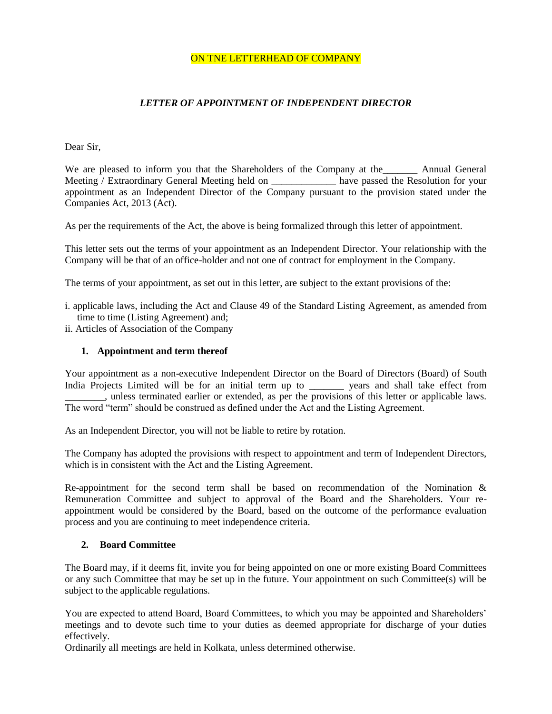#### ON TNE LETTERHEAD OF COMPANY

## *LETTER OF APPOINTMENT OF INDEPENDENT DIRECTOR*

#### Dear Sir,

We are pleased to inform you that the Shareholders of the Company at the **Annual General** Meeting / Extraordinary General Meeting held on \_\_\_\_\_\_\_\_\_\_\_\_\_ have passed the Resolution for your appointment as an Independent Director of the Company pursuant to the provision stated under the Companies Act, 2013 (Act).

As per the requirements of the Act, the above is being formalized through this letter of appointment.

This letter sets out the terms of your appointment as an Independent Director. Your relationship with the Company will be that of an office-holder and not one of contract for employment in the Company.

The terms of your appointment, as set out in this letter, are subject to the extant provisions of the:

i. applicable laws, including the Act and Clause 49 of the Standard Listing Agreement, as amended from time to time (Listing Agreement) and;

ii. Articles of Association of the Company

#### **1. Appointment and term thereof**

Your appointment as a non-executive Independent Director on the Board of Directors (Board) of South India Projects Limited will be for an initial term up to \_\_\_\_\_\_\_ years and shall take effect from \_\_\_\_\_\_\_\_, unless terminated earlier or extended, as per the provisions of this letter or applicable laws. The word "term" should be construed as defined under the Act and the Listing Agreement.

As an Independent Director, you will not be liable to retire by rotation.

The Company has adopted the provisions with respect to appointment and term of Independent Directors, which is in consistent with the Act and the Listing Agreement.

Re-appointment for the second term shall be based on recommendation of the Nomination  $\&$ Remuneration Committee and subject to approval of the Board and the Shareholders. Your reappointment would be considered by the Board, based on the outcome of the performance evaluation process and you are continuing to meet independence criteria.

## **2. Board Committee**

The Board may, if it deems fit, invite you for being appointed on one or more existing Board Committees or any such Committee that may be set up in the future. Your appointment on such Committee(s) will be subject to the applicable regulations.

You are expected to attend Board, Board Committees, to which you may be appointed and Shareholders" meetings and to devote such time to your duties as deemed appropriate for discharge of your duties effectively.

Ordinarily all meetings are held in Kolkata, unless determined otherwise.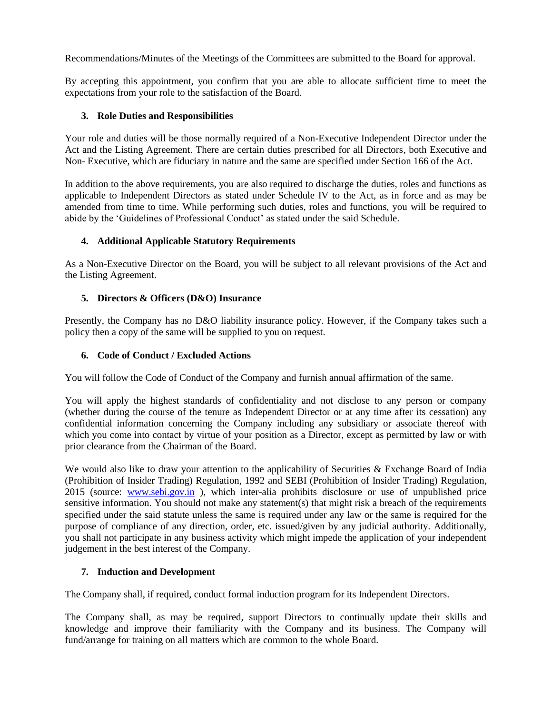Recommendations/Minutes of the Meetings of the Committees are submitted to the Board for approval.

By accepting this appointment, you confirm that you are able to allocate sufficient time to meet the expectations from your role to the satisfaction of the Board.

## **3. Role Duties and Responsibilities**

Your role and duties will be those normally required of a Non-Executive Independent Director under the Act and the Listing Agreement. There are certain duties prescribed for all Directors, both Executive and Non- Executive, which are fiduciary in nature and the same are specified under Section 166 of the Act.

In addition to the above requirements, you are also required to discharge the duties, roles and functions as applicable to Independent Directors as stated under Schedule IV to the Act, as in force and as may be amended from time to time. While performing such duties, roles and functions, you will be required to abide by the "Guidelines of Professional Conduct" as stated under the said Schedule.

# **4. Additional Applicable Statutory Requirements**

As a Non-Executive Director on the Board, you will be subject to all relevant provisions of the Act and the Listing Agreement.

# **5. Directors & Officers (D&O) Insurance**

Presently, the Company has no D&O liability insurance policy. However, if the Company takes such a policy then a copy of the same will be supplied to you on request.

## **6. Code of Conduct / Excluded Actions**

You will follow the Code of Conduct of the Company and furnish annual affirmation of the same.

You will apply the highest standards of confidentiality and not disclose to any person or company (whether during the course of the tenure as Independent Director or at any time after its cessation) any confidential information concerning the Company including any subsidiary or associate thereof with which you come into contact by virtue of your position as a Director, except as permitted by law or with prior clearance from the Chairman of the Board.

We would also like to draw your attention to the applicability of Securities & Exchange Board of India (Prohibition of Insider Trading) Regulation, 1992 and SEBI (Prohibition of Insider Trading) Regulation, 2015 (source: [www.sebi.gov.in](http://www.sebi.gov.in/) ), which inter-alia prohibits disclosure or use of unpublished price sensitive information. You should not make any statement(s) that might risk a breach of the requirements specified under the said statute unless the same is required under any law or the same is required for the purpose of compliance of any direction, order, etc. issued/given by any judicial authority. Additionally, you shall not participate in any business activity which might impede the application of your independent judgement in the best interest of the Company.

## **7. Induction and Development**

The Company shall, if required, conduct formal induction program for its Independent Directors.

The Company shall, as may be required, support Directors to continually update their skills and knowledge and improve their familiarity with the Company and its business. The Company will fund/arrange for training on all matters which are common to the whole Board.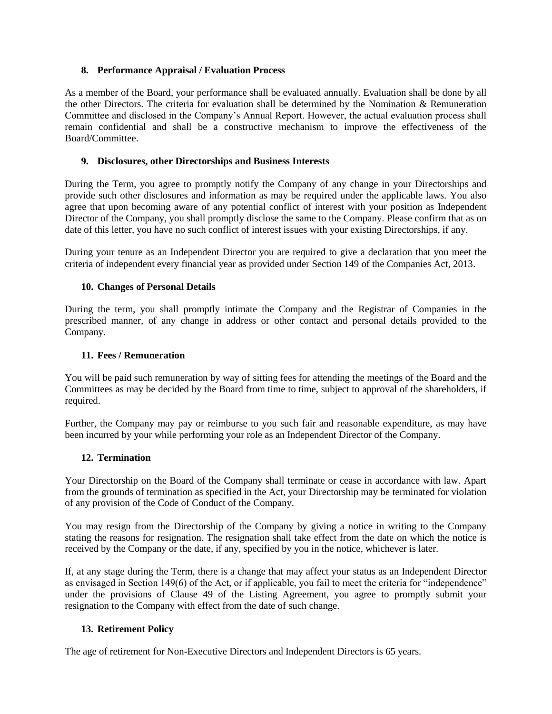# **8. Performance Appraisal / Evaluation Process**

As a member of the Board, your performance shall be evaluated annually. Evaluation shall be done by all the other Directors. The criteria for evaluation shall be determined by the Nomination & Remuneration Committee and disclosed in the Company"s Annual Report. However, the actual evaluation process shall remain confidential and shall be a constructive mechanism to improve the effectiveness of the Board/Committee.

## **9. Disclosures, other Directorships and Business Interests**

During the Term, you agree to promptly notify the Company of any change in your Directorships and provide such other disclosures and information as may be required under the applicable laws. You also agree that upon becoming aware of any potential conflict of interest with your position as Independent Director of the Company, you shall promptly disclose the same to the Company. Please confirm that as on date of this letter, you have no such conflict of interest issues with your existing Directorships, if any.

During your tenure as an Independent Director you are required to give a declaration that you meet the criteria of independent every financial year as provided under Section 149 of the Companies Act, 2013.

## **10. Changes of Personal Details**

During the term, you shall promptly intimate the Company and the Registrar of Companies in the prescribed manner, of any change in address or other contact and personal details provided to the Company.

#### **11. Fees / Remuneration**

You will be paid such remuneration by way of sitting fees for attending the meetings of the Board and the Committees as may be decided by the Board from time to time, subject to approval of the shareholders, if required.

Further, the Company may pay or reimburse to you such fair and reasonable expenditure, as may have been incurred by your while performing your role as an Independent Director of the Company.

## **12. Termination**

Your Directorship on the Board of the Company shall terminate or cease in accordance with law. Apart from the grounds of termination as specified in the Act, your Directorship may be terminated for violation of any provision of the Code of Conduct of the Company.

You may resign from the Directorship of the Company by giving a notice in writing to the Company stating the reasons for resignation. The resignation shall take effect from the date on which the notice is received by the Company or the date, if any, specified by you in the notice, whichever is later.

If, at any stage during the Term, there is a change that may affect your status as an Independent Director as envisaged in Section 149(6) of the Act, or if applicable, you fail to meet the criteria for "independence" under the provisions of Clause 49 of the Listing Agreement, you agree to promptly submit your resignation to the Company with effect from the date of such change.

## **13. Retirement Policy**

The age of retirement for Non-Executive Directors and Independent Directors is 65 years.